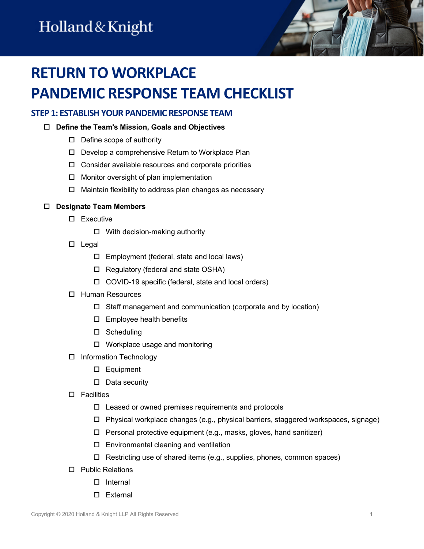# **RETURN TO WORKPLACE PANDEMIC RESPONSE TEAM CHECKLIST**

### **STEP 1: ESTABLISH YOUR PANDEMIC RESPONSE TEAM**

#### **Define the Team's Mission, Goals and Objectives**

- $\square$  Define scope of authority
- □ Develop a comprehensive Return to Workplace Plan
- $\Box$  Consider available resources and corporate priorities
- $\Box$  Monitor oversight of plan implementation
- $\Box$  Maintain flexibility to address plan changes as necessary

#### **Designate Team Members**

- □ Executive
	- $\Box$  With decision-making authority
- $\square$  Legal
	- $\Box$  Employment (federal, state and local laws)
	- $\Box$  Regulatory (federal and state OSHA)
	- COVID-19 specific (federal, state and local orders)
- □ Human Resources
	- $\Box$  Staff management and communication (corporate and by location)
	- $\square$  Employee health benefits
	- □ Scheduling
	- $\Box$  Workplace usage and monitoring
- □ Information Technology
	- □ Equipment
	- $\square$  Data security
- $\square$  Facilities
	- $\square$  Leased or owned premises requirements and protocols
	- Physical workplace changes (e.g., physical barriers, staggered workspaces, signage)
	- $\Box$  Personal protective equipment (e.g., masks, gloves, hand sanitizer)
	- $\square$  Environmental cleaning and ventilation
	- Restricting use of shared items (e.g., supplies, phones, common spaces)
- □ Public Relations
	- $\square$  Internal
	- □ External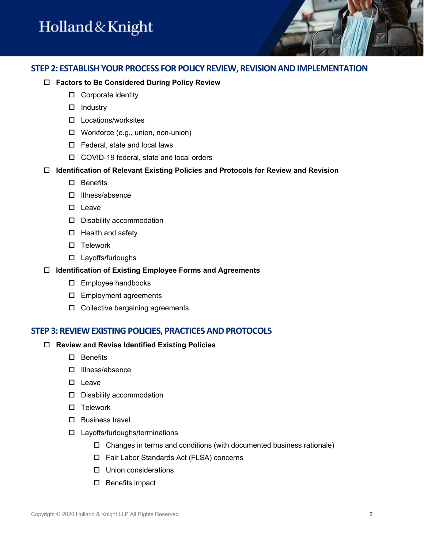### **STEP 2: ESTABLISHYOUR PROCESS FOR POLICY REVIEW, REVISION AND IMPLEMENTATION**

#### **Factors to Be Considered During Policy Review**

- □ Corporate identity
- $\Box$  Industry
- Locations/worksites
- Workforce (e.g., union, non-union)
- □ Federal, state and local laws
- COVID-19 federal, state and local orders

#### **Identification of Relevant Existing Policies and Protocols for Review and Revision**

- □ Benefits
- □ Illness/absence
- $\square$  Leave
- D Disability accommodation
- $\Box$  Health and safety
- $\square$  Telework
- Layoffs/furloughs

#### **Identification of Existing Employee Forms and Agreements**

- Employee handbooks
- Employment agreements
- $\square$  Collective bargaining agreements

#### **STEP 3: REVIEW EXISTING POLICIES, PRACTICES AND PROTOCOLS**

#### **Review and Revise Identified Existing Policies**

- $\Box$  Benefits
- □ Illness/absence
- □ Leave
- D Disability accommodation
- $\square$  Telework
- $\square$  Business travel
- Layoffs/furloughs/terminations
	- $\Box$  Changes in terms and conditions (with documented business rationale)
	- Fair Labor Standards Act (FLSA) concerns
	- $\Box$  Union considerations
	- $\square$  Benefits impact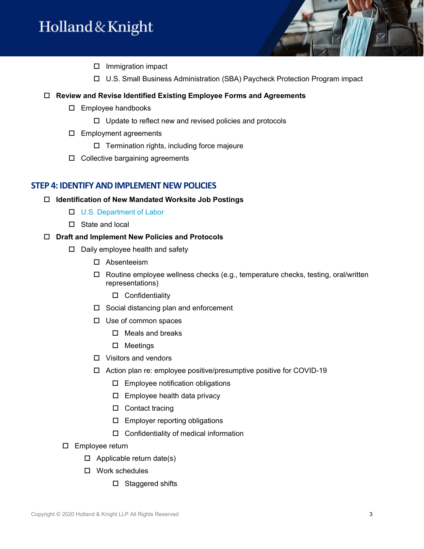- $\square$  Immigration impact
- U.S. Small Business Administration (SBA) Paycheck Protection Program impact

#### **Review and Revise Identified Existing Employee Forms and Agreements**

- Employee handbooks
	- $\Box$  Update to reflect new and revised policies and protocols
- Employment agreements
	- $\Box$  Termination rights, including force majeure
- $\Box$  Collective bargaining agreements

#### **STEP 4: IDENTIFY AND IMPLEMENT NEW POLICIES**

#### **Identification of New Mandated Worksite Job Postings**

- □ [U.S. Department of Labor](https://www.dol.gov/general/topics/posters)
- □ State and local

#### **Draft and Implement New Policies and Protocols**

- $\Box$  Daily employee health and safety
	- Absenteeism
	- $\Box$  Routine employee wellness checks (e.g., temperature checks, testing, oral/written representations)
		- □ Confidentiality
	- □ Social distancing plan and enforcement
	- $\square$  Use of common spaces
		- $\Box$  Meals and breaks
		- □ Meetings
	- Visitors and vendors
	- $\Box$  Action plan re: employee positive/presumptive positive for COVID-19
		- $\square$  Employee notification obligations
		- $\square$  Employee health data privacy
		- □ Contact tracing
		- $\square$  Employer reporting obligations
		- $\Box$  Confidentiality of medical information
- Employee return
	- $\Box$  Applicable return date(s)
	- Work schedules
		- □ Staggered shifts